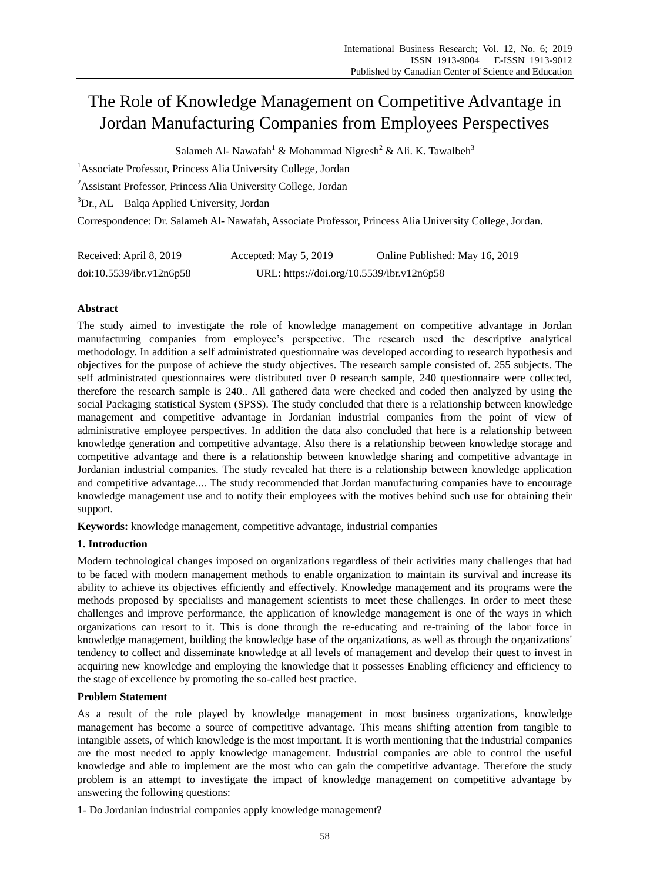# The Role of Knowledge Management on Competitive Advantage in Jordan Manufacturing Companies from Employees Perspectives

Salameh Al- Nawafah $^1$  & Mohammad Nigresh $^2$  & Ali. K. Tawalbeh $^3$ 

<sup>1</sup> Associate Professor, Princess Alia University College, Jordan

<sup>2</sup>Assistant Professor, Princess Alia University College, Jordan

 ${}^{3}Dr$ , AL – Balqa Applied University, Jordan

Correspondence: Dr. Salameh Al- Nawafah, Associate Professor, Princess Alia University College, Jordan.

| Received: April 8, 2019  | Accepted: May 5, 2019                     | Online Published: May 16, 2019 |
|--------------------------|-------------------------------------------|--------------------------------|
| doi:10.5539/ibr.v12n6p58 | URL: https://doi.org/10.5539/ibr.v12n6p58 |                                |

# **Abstract**

The study aimed to investigate the role of knowledge management on competitive advantage in Jordan manufacturing companies from employee's perspective. The research used the descriptive analytical methodology. In addition a self administrated questionnaire was developed according to research hypothesis and objectives for the purpose of achieve the study objectives. The research sample consisted of. 255 subjects. The self administrated questionnaires were distributed over 0 research sample, 240 questionnaire were collected, therefore the research sample is 240.. All gathered data were checked and coded then analyzed by using the social Packaging statistical System (SPSS). The study concluded that there is a relationship between knowledge management and competitive advantage in Jordanian industrial companies from the point of view of administrative employee perspectives. In addition the data also concluded that here is a relationship between knowledge generation and competitive advantage. Also there is a relationship between knowledge storage and competitive advantage and there is a relationship between knowledge sharing and competitive advantage in Jordanian industrial companies. The study revealed hat there is a relationship between knowledge application and competitive advantage.... The study recommended that Jordan manufacturing companies have to encourage knowledge management use and to notify their employees with the motives behind such use for obtaining their support.

**Keywords:** knowledge management, competitive advantage, industrial companies

# **1. Introduction**

Modern technological changes imposed on organizations regardless of their activities many challenges that had to be faced with modern management methods to enable organization to maintain its survival and increase its ability to achieve its objectives efficiently and effectively. Knowledge management and its programs were the methods proposed by specialists and management scientists to meet these challenges. In order to meet these challenges and improve performance, the application of knowledge management is one of the ways in which organizations can resort to it. This is done through the re-educating and re-training of the labor force in knowledge management, building the knowledge base of the organizations, as well as through the organizations' tendency to collect and disseminate knowledge at all levels of management and develop their quest to invest in acquiring new knowledge and employing the knowledge that it possesses Enabling efficiency and efficiency to the stage of excellence by promoting the so-called best practice.

# **Problem Statement**

As a result of the role played by knowledge management in most business organizations, knowledge management has become a source of competitive advantage. This means shifting attention from tangible to intangible assets, of which knowledge is the most important. It is worth mentioning that the industrial companies are the most needed to apply knowledge management. Industrial companies are able to control the useful knowledge and able to implement are the most who can gain the competitive advantage. Therefore the study problem is an attempt to investigate the impact of knowledge management on competitive advantage by answering the following questions:

1- Do Jordanian industrial companies apply knowledge management?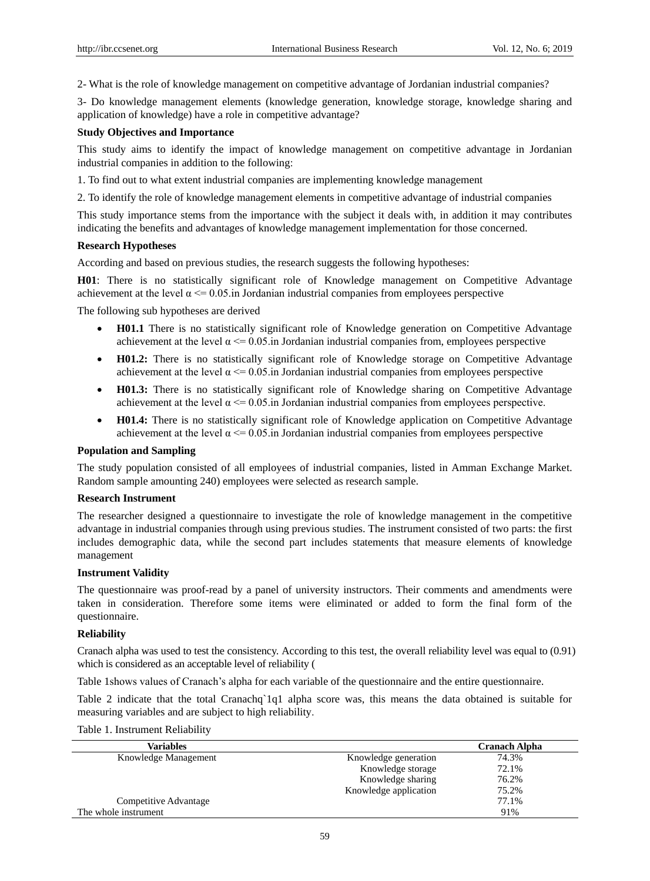2- What is the role of knowledge management on competitive advantage of Jordanian industrial companies?

3- Do knowledge management elements (knowledge generation, knowledge storage, knowledge sharing and application of knowledge) have a role in competitive advantage?

# **Study Objectives and Importance**

This study aims to identify the impact of knowledge management on competitive advantage in Jordanian industrial companies in addition to the following:

- 1. To find out to what extent industrial companies are implementing knowledge management
- 2. To identify the role of knowledge management elements in competitive advantage of industrial companies

This study importance stems from the importance with the subject it deals with, in addition it may contributes indicating the benefits and advantages of knowledge management implementation for those concerned.

# **Research Hypotheses**

According and based on previous studies, the research suggests the following hypotheses:

**H01**: There is no statistically significant role of Knowledge management on Competitive Advantage achievement at the level  $\alpha \le 0.05$  in Jordanian industrial companies from employees perspective

The following sub hypotheses are derived

- **H01.1** There is no statistically significant role of Knowledge generation on Competitive Advantage achievement at the level  $\alpha \le 0.05$  in Jordanian industrial companies from, employees perspective
- H01.2: There is no statistically significant role of Knowledge storage on Competitive Advantage achievement at the level  $\alpha \leq 0.05$  in Jordanian industrial companies from employees perspective
- H01.3: There is no statistically significant role of Knowledge sharing on Competitive Advantage achievement at the level  $\alpha \le 0.05$  in Jordanian industrial companies from employees perspective.
- H01.4: There is no statistically significant role of Knowledge application on Competitive Advantage achievement at the level  $\alpha \le 0.05$  in Jordanian industrial companies from employees perspective

#### **Population and Sampling**

The study population consisted of all employees of industrial companies, listed in Amman Exchange Market. Random sample amounting 240) employees were selected as research sample.

#### **Research Instrument**

The researcher designed a questionnaire to investigate the role of knowledge management in the competitive advantage in industrial companies through using previous studies. The instrument consisted of two parts: the first includes demographic data, while the second part includes statements that measure elements of knowledge management

## **Instrument Validity**

The questionnaire was proof-read by a panel of university instructors. Their comments and amendments were taken in consideration. Therefore some items were eliminated or added to form the final form of the questionnaire.

# **Reliability**

Cranach alpha was used to test the consistency. According to this test, the overall reliability level was equal to (0.91) which is considered as an acceptable level of reliability (

Table 1shows values of Cranach's alpha for each variable of the questionnaire and the entire questionnaire.

Table 2 indicate that the total Cranachq`1q1 alpha score was, this means the data obtained is suitable for measuring variables and are subject to high reliability.

Table 1. Instrument Reliability

| Variables             |                       | <b>Cranach Alpha</b> |
|-----------------------|-----------------------|----------------------|
| Knowledge Management  | Knowledge generation  | 74.3%                |
|                       | Knowledge storage     | 72.1%                |
|                       | Knowledge sharing     | 76.2%                |
|                       | Knowledge application | 75.2%                |
| Competitive Advantage |                       | 77.1%                |
| The whole instrument  |                       | 91%                  |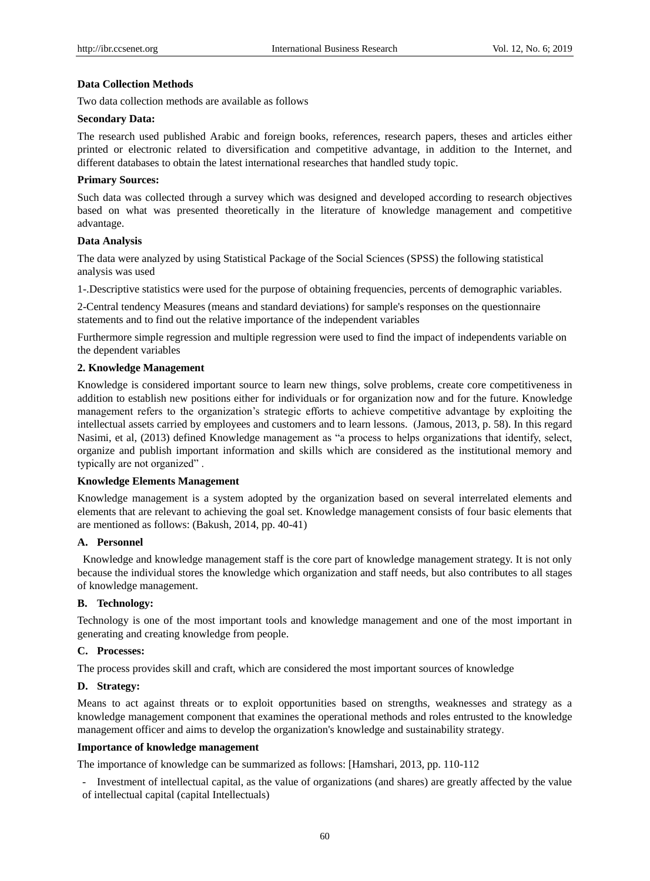# **Data Collection Methods**

Two data collection methods are available as follows

#### **Secondary Data:**

The research used published Arabic and foreign books, references, research papers, theses and articles either printed or electronic related to diversification and competitive advantage, in addition to the Internet, and different databases to obtain the latest international researches that handled study topic.

# **Primary Sources:**

Such data was collected through a survey which was designed and developed according to research objectives based on what was presented theoretically in the literature of knowledge management and competitive advantage.

## **Data Analysis**

The data were analyzed by using Statistical Package of the Social Sciences (SPSS) the following statistical analysis was used

1-.Descriptive statistics were used for the purpose of obtaining frequencies, percents of demographic variables.

2-Central tendency Measures (means and standard deviations) for sample's responses on the questionnaire statements and to find out the relative importance of the independent variables

Furthermore simple regression and multiple regression were used to find the impact of independents variable on the dependent variables

# **2. Knowledge Management**

Knowledge is considered important source to learn new things, solve problems, create core competitiveness in addition to establish new positions either for individuals or for organization now and for the future. Knowledge management refers to the organization's strategic efforts to achieve competitive advantage by exploiting the intellectual assets carried by employees and customers and to learn lessons. (Jamous, 2013, p. 58). In this regard Nasimi, et al, (2013) defined Knowledge management as "a process to helps organizations that identify, select, organize and publish important information and skills which are considered as the institutional memory and typically are not organized" .

# **Knowledge Elements Management**

Knowledge management is a system adopted by the organization based on several interrelated elements and elements that are relevant to achieving the goal set. Knowledge management consists of four basic elements that are mentioned as follows: (Bakush, 2014, pp. 40-41)

# **A. Personnel**

Knowledge and knowledge management staff is the core part of knowledge management strategy. It is not only because the individual stores the knowledge which organization and staff needs, but also contributes to all stages of knowledge management.

#### **B. Technology:**

Technology is one of the most important tools and knowledge management and one of the most important in generating and creating knowledge from people.

# **C. Processes:**

The process provides skill and craft, which are considered the most important sources of knowledge

#### **D. Strategy:**

Means to act against threats or to exploit opportunities based on strengths, weaknesses and strategy as a knowledge management component that examines the operational methods and roles entrusted to the knowledge management officer and aims to develop the organization's knowledge and sustainability strategy.

#### **Importance of knowledge management**

The importance of knowledge can be summarized as follows: [Hamshari, 2013, pp. 110-112

- Investment of intellectual capital, as the value of organizations (and shares) are greatly affected by the value of intellectual capital (capital Intellectuals)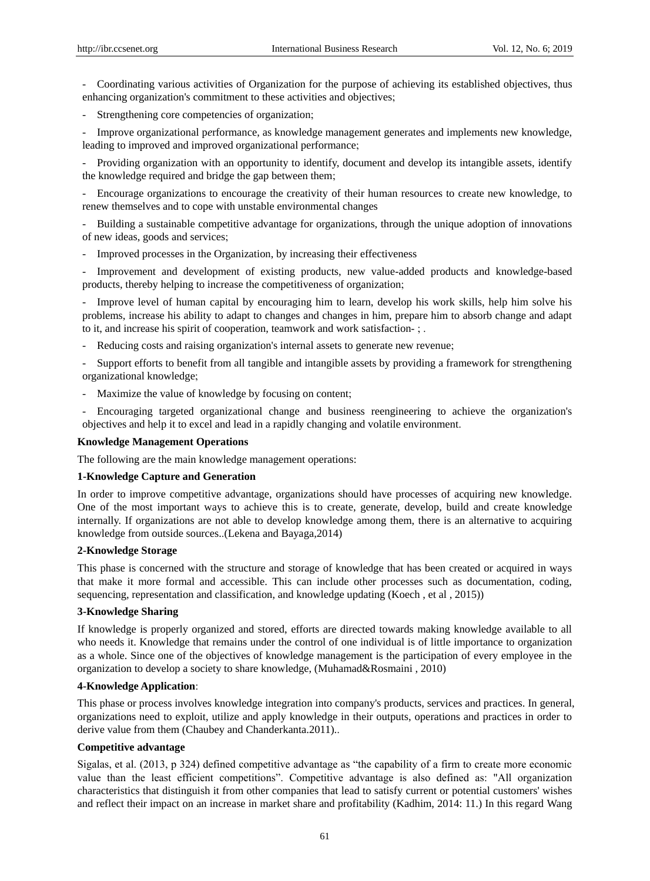- Coordinating various activities of Organization for the purpose of achieving its established objectives, thus enhancing organization's commitment to these activities and objectives;

- Strengthening core competencies of organization;

- Improve organizational p*e*rformance, as knowledge management generates and implements new knowledge, leading to improved and improved organizational performance;

- Providing organization with an opportunity to identify, document and develop its intangible assets, identify the knowledge required and bridge the gap between them;

- Encourage organizations to encourage the creativity of their human resources to create new knowledge, to renew themselves and to cope with unstable environmental changes

- Building a sustainable competitive advantage for organizations, through the unique adoption of innovations of new ideas, goods and services;

- Improved processes in the Organization, by increasing their effectiveness

- Improvement and development of existing products, new value-added products and knowledge-based products, thereby helping to increase the competitiveness of organization;

- Improve level of human capital by encouraging him to learn, develop his work skills, help him solve his problems, increase his ability to adapt to changes and changes in him, prepare him to absorb change and adapt to it, and increase his spirit of cooperation, teamwork and work satisfaction- ; .

- Reducing costs and raising organization's internal assets to generate new revenue;

- Support efforts to benefit from all tangible and intangible assets by providing a framework for strengthening organizational knowledge;

- Maximize the value of knowledge by focusing on content;

- Encouraging targeted organizational change and business reengineering to achieve the organization's objectives and help it to excel and lead in a rapidly changing and volatile environment.

## **Knowledge Management Operations**

The following are the main knowledge management operations:

#### **1-Knowledge Capture and Generation**

In order to improve competitive advantage, organizations should have processes of acquiring new knowledge. One of the most important ways to achieve this is to create, generate, develop, build and create knowledge internally. If organizations are not able to develop knowledge among them, there is an alternative to acquiring knowledge from outside sources..(Lekena and Bayaga,2014)

#### **2-Knowledge Storage**

This phase is concerned with the structure and storage of knowledge that has been created or acquired in ways that make it more formal and accessible. This can include other processes such as documentation, coding, sequencing, representation and classification, and knowledge updating (Koech , et al , 2015))

# **3-Knowledge Sharing**

If knowledge is properly organized and stored, efforts are directed towards making knowledge available to all who needs it. Knowledge that remains under the control of one individual is of little importance to organization as a whole. Since one of the objectives of knowledge management is the participation of every employee in the organization to develop a society to share knowledge, (Muhamad&Rosmaini , 2010)

## **4-Knowledge Application**:

This phase or process involves knowledge integration into company's products, services and practices. In general, organizations need to exploit, utilize and apply knowledge in their outputs, operations and practices in order to derive value from them (Chaubey and Chanderkanta.2011)..

#### **Competitive advantage**

Sigalas, et al. (2013, p 324) defined competitive advantage as "the capability of a firm to create more economic value than the least efficient competitions". Competitive advantage is also defined as: "All organization characteristics that distinguish it from other companies that lead to satisfy current or potential customers' wishes and reflect their impact on an increase in market share and profitability (Kadhim, 2014: 11.) In this regard Wang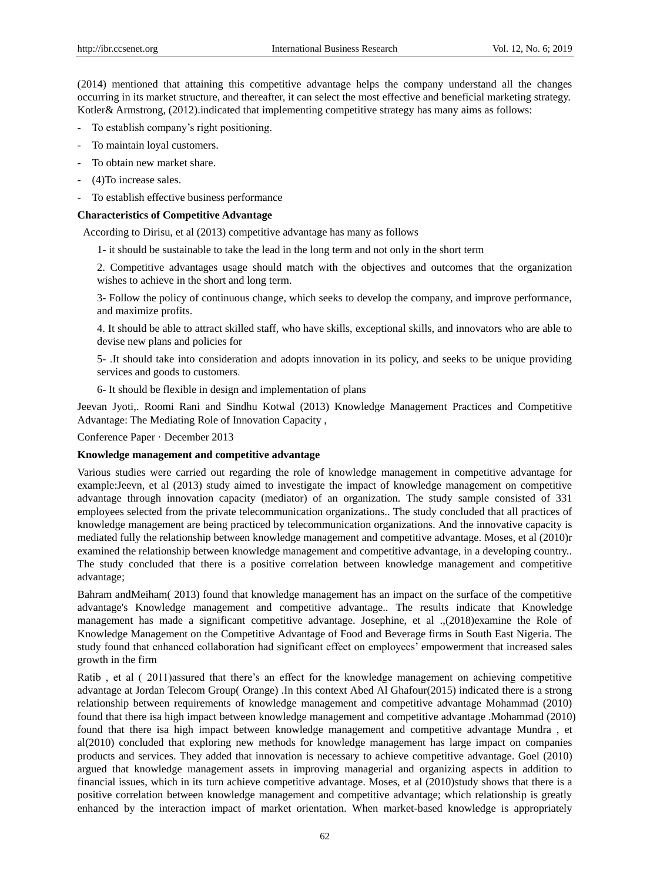(2014) mentioned that attaining this competitive advantage helps the company understand all the changes occurring in its market structure, and thereafter, it can select the most effective and beneficial marketing strategy. Kotler& Armstrong, (2012).indicated that implementing competitive strategy has many aims as follows:

- To establish company's right positioning.
- To maintain loyal customers.
- To obtain new market share.
- (4)To increase sales.
- To establish effective business performance

# **Characteristics of Competitive Advantage**

According to Dirisu, et al (2013) competitive advantage has many as follows

1- it should be sustainable to take the lead in the long term and not only in the short term

2. Competitive advantages usage should match with the objectives and outcomes that the organization wishes to achieve in the short and long term.

3- Follow the policy of continuous change, which seeks to develop the company, and improve performance, and maximize profits.

4. It should be able to attract skilled staff, who have skills, exceptional skills, and innovators who are able to devise new plans and policies for

5- .It should take into consideration and adopts innovation in its policy, and seeks to be unique providing services and goods to customers.

6- It should be flexible in design and implementation of plans

Jeevan Jyoti,. Roomi Rani and Sindhu Kotwal (2013) Knowledge Management Practices and Competitive Advantage: The Mediating Role of Innovation Capacity ,

Conference Paper · December 2013

#### **Knowledge management and competitive advantage**

Various studies were carried out regarding the role of knowledge management in competitive advantage for example:Jeevn, et al (2013) study aimed to investigate the impact of knowledge management on competitive advantage through innovation capacity (mediator) of an organization. The study sample consisted of 331 employees selected from the private telecommunication organizations.. The study concluded that all practices of knowledge management are being practiced by telecommunication organizations. And the innovative capacity is mediated fully the relationship between knowledge management and competitive advantage. Moses, et al (2010)r examined the relationship between knowledge management and competitive advantage, in a developing country.. The study concluded that there is a positive correlation between knowledge management and competitive advantage;

Bahram andMeiham( 2013) found that knowledge management has an impact on the surface of the competitive advantage's Knowledge management and competitive advantage.. The results indicate that Knowledge management has made a significant competitive advantage. Josephine, et al .,(2018)examine the Role of Knowledge Management on the Competitive Advantage of Food and Beverage firms in South East Nigeria. The study found that enhanced collaboration had significant effect on employees' empowerment that increased sales growth in the firm

Ratib , et al ( 2011)assured that there's an effect for the knowledge management on achieving competitive advantage at Jordan Telecom Group( Orange) .In this context Abed Al Ghafour(2015) indicated there is a strong relationship between requirements of knowledge management and competitive advantage Mohammad (2010) found that there isa high impact between knowledge management and competitive advantage .Mohammad (2010) found that there isa high impact between knowledge management and competitive advantage Mundra , et al(2010) concluded that exploring new methods for knowledge management has large impact on companies products and services. They added that innovation is necessary to achieve competitive advantage. Goel (2010) argued that knowledge management assets in improving managerial and organizing aspects in addition to financial issues, which in its turn achieve competitive advantage. Moses, et al (2010)study shows that there is a positive correlation between knowledge management and competitive advantage; which relationship is greatly enhanced by the interaction impact of market orientation. When market-based knowledge is appropriately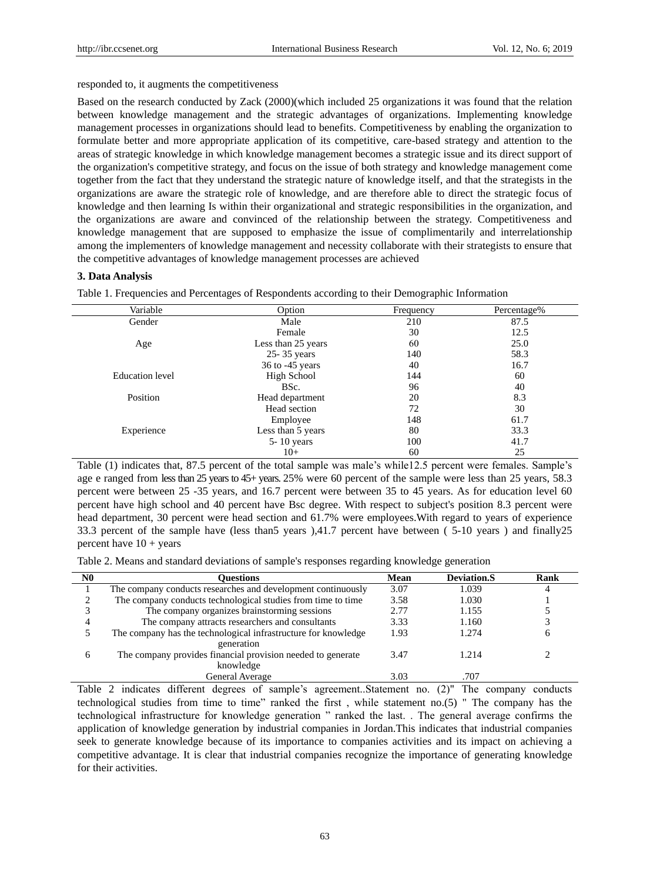responded to, it augments the competitiveness

Based on the research conducted by Zack (2000)(which included 25 organizations it was found that the relation between knowledge management and the strategic advantages of organizations. Implementing knowledge management processes in organizations should lead to benefits. Competitiveness by enabling the organization to formulate better and more appropriate application of its competitive, care-based strategy and attention to the areas of strategic knowledge in which knowledge management becomes a strategic issue and its direct support of the organization's competitive strategy, and focus on the issue of both strategy and knowledge management come together from the fact that they understand the strategic nature of knowledge itself, and that the strategists in the organizations are aware the strategic role of knowledge, and are therefore able to direct the strategic focus of knowledge and then learning Is within their organizational and strategic responsibilities in the organization, and the organizations are aware and convinced of the relationship between the strategy. Competitiveness and knowledge management that are supposed to emphasize the issue of complimentarily and interrelationship among the implementers of knowledge management and necessity collaborate with their strategists to ensure that the competitive advantages of knowledge management processes are achieved

## **3. Data Analysis**

Table 1. Frequencies and Percentages of Respondents according to their Demographic Information

| Variable               | Option              | Frequency | Percentage% |
|------------------------|---------------------|-----------|-------------|
| Gender                 | Male                | 210       | 87.5        |
|                        | Female              | 30        | 12.5        |
| Age                    | Less than 25 years  | 60        | 25.0        |
|                        | 25-35 years         | 140       | 58.3        |
|                        | $36$ to $-45$ years | 40        | 16.7        |
| <b>Education</b> level | High School         | 144       | 60          |
|                        | BSc.                | 96        | 40          |
| Position               | Head department     | 20        | 8.3         |
|                        | Head section        | 72        | 30          |
|                        | Employee            | 148       | 61.7        |
| Experience             | Less than 5 years   | 80        | 33.3        |
|                        | $5 - 10$ years      | 100       | 41.7        |
|                        | $10+$               | 60        | 25          |

Table (1) indicates that, 87.5 percent of the total sample was male's while12.5 percent were females. Sample's age e ranged from lessthan 25 years to 45+ years. 25% were 60 percent of the sample were less than 25 years, 58.3 percent were between 25 -35 years, and 16.7 percent were between 35 to 45 years. As for education level 60 percent have high school and 40 percent have Bsc degree. With respect to subject's position 8.3 percent were head department, 30 percent were head section and 61.7% were employees. With regard to years of experience 33.3 percent of the sample have (less than5 years ),41.7 percent have between ( 5-10 years ) and finally25 percent have  $10 + \text{years}$ 

Table 2. Means and standard deviations of sample's responses regarding knowledge generation

| N0 | Ouestions                                                      | Mean | <b>Deviation.S</b> | Rank |
|----|----------------------------------------------------------------|------|--------------------|------|
|    | The company conducts researches and development continuously   | 3.07 | 1.039              |      |
|    | The company conducts technological studies from time to time   | 3.58 | 1.030              |      |
|    | The company organizes brainstorming sessions                   | 2.77 | 1.155              |      |
|    | The company attracts researchers and consultants               | 3.33 | 1.160              |      |
|    | The company has the technological infrastructure for knowledge | 1.93 | 1.274              | n    |
|    | generation                                                     |      |                    |      |
| h. | The company provides financial provision needed to generate    | 3.47 | 1.214              |      |
|    | knowledge                                                      |      |                    |      |
|    | General Average                                                | 3.03 | .707               |      |

Table 2 indicates different degrees of sample's agreement..Statement no. (2)" The company conducts technological studies from time to time" ranked the first , while statement no.(5) " The company has the technological infrastructure for knowledge generation " ranked the last. . The general average confirms the application of knowledge generation by industrial companies in Jordan.This indicates that industrial companies seek to generate knowledge because of its importance to companies activities and its impact on achieving a competitive advantage. It is clear that industrial companies recognize the importance of generating knowledge for their activities.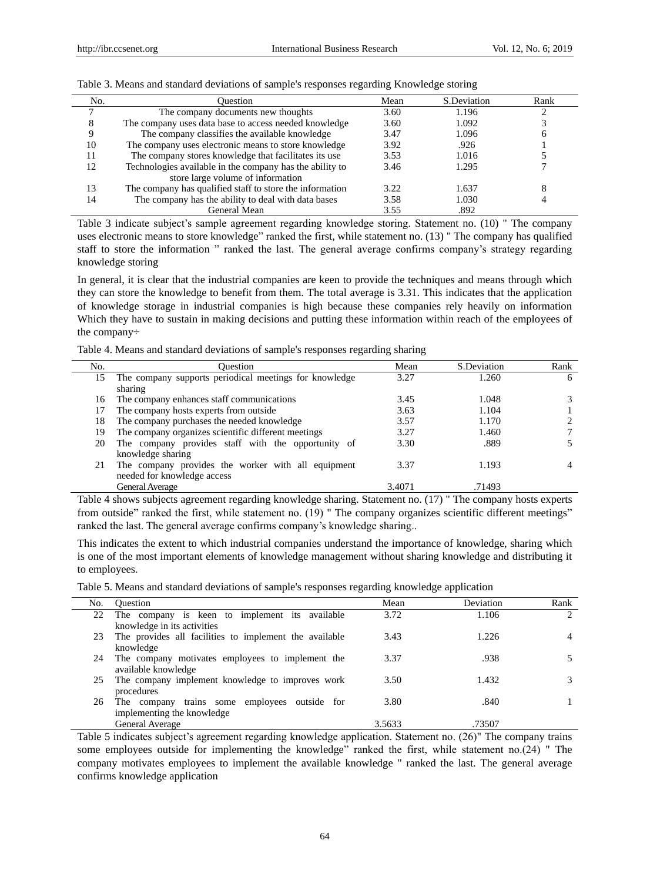| No. | <b>Duestion</b>                                          | Mean | S.Deviation | Rank |
|-----|----------------------------------------------------------|------|-------------|------|
|     | The company documents new thoughts                       | 3.60 | 1.196       |      |
|     | The company uses data base to access needed knowledge    | 3.60 | 1.092       |      |
|     | The company classifies the available knowledge           | 3.47 | 1.096       |      |
| 10  | The company uses electronic means to store knowledge     | 3.92 | .926        |      |
|     | The company stores knowledge that facilitates its use    | 3.53 | 1.016       |      |
| 12  | Technologies available in the company has the ability to | 3.46 | 1.295       |      |
|     | store large volume of information                        |      |             |      |
| 13  | The company has qualified staff to store the information | 3.22 | 1.637       |      |
| 14  | The company has the ability to deal with data bases      | 3.58 | 1.030       |      |
|     | General Mean                                             | 3.55 | .892        |      |

#### Table 3. Means and standard deviations of sample's responses regarding Knowledge storing

Table 3 indicate subject's sample agreement regarding knowledge storing. Statement no. (10) " The company uses electronic means to store knowledge" ranked the first, while statement no. (13) " The company has qualified staff to store the information " ranked the last. The general average confirms company's strategy regarding knowledge storing

In general, it is clear that the industrial companies are keen to provide the techniques and means through which they can store the knowledge to benefit from them. The total average is 3.31. This indicates that the application of knowledge storage in industrial companies is high because these companies rely heavily on information Which they have to sustain in making decisions and putting these information within reach of the employees of the company÷

Table 4. Means and standard deviations of sample's responses regarding sharing

| No. | <b>Ouestion</b>                                                   | Mean   | S.Deviation | Rank |
|-----|-------------------------------------------------------------------|--------|-------------|------|
| 15  | The company supports periodical meetings for knowledge<br>sharing | 3.27   | 1.260       | 6    |
| 16  | The company enhances staff communications                         | 3.45   | 1.048       |      |
| 17  | The company hosts experts from outside                            | 3.63   | 1.104       |      |
| 18  | The company purchases the needed knowledge                        | 3.57   | 1.170       |      |
| 19  | The company organizes scientific different meetings               | 3.27   | 1.460       |      |
| 20  | The company provides staff with the opportunity of                | 3.30   | .889        |      |
|     | knowledge sharing                                                 |        |             |      |
| 21  | The company provides the worker with all equipment                | 3.37   | 1.193       |      |
|     | needed for knowledge access                                       |        |             |      |
|     | General Average                                                   | 3.4071 | .71493      |      |

Table 4 shows subjects agreement regarding knowledge sharing. Statement no. (17) " The company hosts experts from outside" ranked the first, while statement no. (19) " The company organizes scientific different meetings" ranked the last. The general average confirms company's knowledge sharing..

This indicates the extent to which industrial companies understand the importance of knowledge, sharing which is one of the most important elements of knowledge management without sharing knowledge and distributing it to employees.

Table 5. Means and standard deviations of sample's responses regarding knowledge application

| No. | <b>Ouestion</b>                                        | Mean   | Deviation | Rank                          |
|-----|--------------------------------------------------------|--------|-----------|-------------------------------|
| 22  | The company is keen to implement its available         | 3.72   | 1.106     | $\mathfrak{D}_{\mathfrak{p}}$ |
|     | knowledge in its activities                            |        |           |                               |
| 23  | The provides all facilities to implement the available | 3.43   | 1.226     |                               |
|     | knowledge                                              |        |           |                               |
| 24  | The company motivates employees to implement the       | 3.37   | .938      |                               |
|     | available knowledge                                    |        |           |                               |
| 25  | The company implement knowledge to improves work       | 3.50   | 1.432     |                               |
|     | procedures                                             |        |           |                               |
| 26  | The company trains some employees outside for          | 3.80   | .840      |                               |
|     | implementing the knowledge                             |        |           |                               |
|     | General Average                                        | 3.5633 | .73507    |                               |

Table 5 indicates subject's agreement regarding knowledge application. Statement no. (26)" The company trains some employees outside for implementing the knowledge" ranked the first, while statement no.(24) " The company motivates employees to implement the available knowledge " ranked the last. The general average confirms knowledge application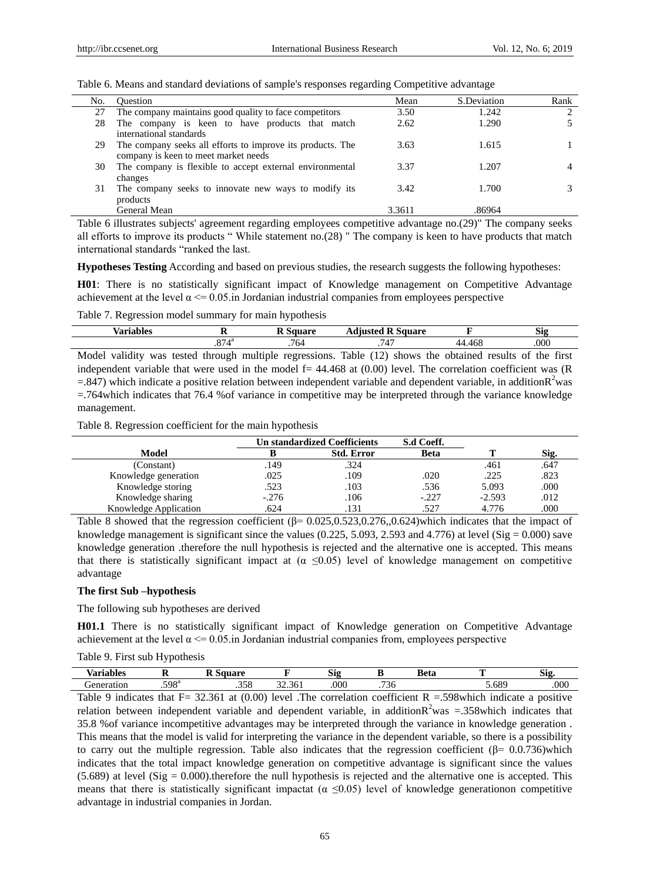| Table 6. Means and standard deviations of sample's responses regarding Competitive advantage |  |  |  |  |  |
|----------------------------------------------------------------------------------------------|--|--|--|--|--|
|----------------------------------------------------------------------------------------------|--|--|--|--|--|

| No. | <b>Ouestion</b>                                            | Mean   | S.Deviation | Rank                          |
|-----|------------------------------------------------------------|--------|-------------|-------------------------------|
| 27  | The company maintains good quality to face competitors     | 3.50   | 1.242       | $\mathfrak{D}_{\mathfrak{p}}$ |
| 28  | The company is keen to have products that match            | 2.62   | 1.290       |                               |
|     | international standards                                    |        |             |                               |
| 29  | The company seeks all efforts to improve its products. The | 3.63   | 1.615       |                               |
|     | company is keen to meet market needs                       |        |             |                               |
| 30  | The company is flexible to accept external environmental   | 3.37   | 1.207       | 4                             |
|     | changes                                                    |        |             |                               |
| 31  | The company seeks to innovate new ways to modify its       | 3.42   | 1.700       |                               |
|     | products                                                   |        |             |                               |
|     | General Mean                                               | 3.3611 | .86964      |                               |

Table 6 illustrates subjects' agreement regarding employees competitive advantage no.(29)" The company seeks all efforts to improve its products " While statement no.(28) " The company is keen to have products that match international standards "ranked the last.

**Hypotheses Testing** According and based on previous studies, the research suggests the following hypotheses:

**H01**: There is no statistically significant impact of Knowledge management on Competitive Advantage achievement at the level  $\alpha \le 0.05$ .in Jordanian industrial companies from employees perspective

Table 7. Regression model summary for main hypothesis

| --<br>. .<br>$\sqrt{2}$<br>$\sim$ |                       | $-2.520$<br>    | $\mathbf{v}$<br>quare<br>duudtoo<br>. |   | $\sim$<br><b>OIY</b> |
|-----------------------------------|-----------------------|-----------------|---------------------------------------|---|----------------------|
|                                   | $\sim$ $-$<br>лa<br>. | $\sim$<br>. 764 | $\epsilon$<br>4                       | w | .000                 |

Model validity was tested through multiple regressions. Table (12) shows the obtained results of the first independent variable that were used in the model  $f= 44.468$  at  $(0.00)$  level. The correlation coefficient was  $(R)$  $=847$ ) which indicate a positive relation between independent variable and dependent variable, in addition $R^2$ was =.764which indicates that 76.4 %of variance in competitive may be interpreted through the variance knowledge management.

Table 8. Regression coefficient for the main hypothesis

|                       |         | <b>Un standardized Coefficients</b> |             |          |      |
|-----------------------|---------|-------------------------------------|-------------|----------|------|
| Model                 |         | <b>Std. Error</b>                   | <b>Beta</b> |          | Sig. |
| (Constant)            | 149     | .324                                |             | .461     | .647 |
| Knowledge generation  | .025    | .109                                | .020        | .225     | .823 |
| Knowledge storing     | .523    | .103                                | .536        | 5.093    | .000 |
| Knowledge sharing     | $-.276$ | .106                                | $-.227$     | $-2.593$ | .012 |
| Knowledge Application | .624    | .131                                | .527        | 4.776    | .000 |

Table 8 showed that the regression coefficient  $(\beta = 0.025, 0.523, 0.276, 0.624)$  which indicates that the impact of knowledge management is significant since the values (0.225, 5.093, 2.593 and 4.776) at level (Sig = 0.000) save knowledge generation .therefore the null hypothesis is rejected and the alternative one is accepted. This means that there is statistically significant impact at  $(\alpha \le 0.05)$  level of knowledge management on competitive advantage

# **The first Sub –hypothesis**

The following sub hypotheses are derived

**H01.1** There is no statistically significant impact of Knowledge generation on Competitive Advantage achievement at the level  $\alpha \le 0.05$  in Jordanian industrial companies from, employees perspective

| $\mathbf{V}$<br>Ωí | . .           |                                    |        | $\sim$<br>גוט |                         | Beta |     | r.<br>819 |
|--------------------|---------------|------------------------------------|--------|---------------|-------------------------|------|-----|-----------|
| чө                 | 500a<br>. 298 | $\cap$ $\subset$ $\cap$<br>,,<br>. | $\sim$ | .000          | $\overline{a}$<br>7 - 7 |      | 689 | .000      |
|                    |               |                                    |        |               |                         |      |     |           |

Table 9 indicates that F= 32.361 at  $(0.00)$  level .The correlation coefficient R = 598which indicate a positive relation between independent variable and dependent variable, in addition $R^2$ was =.358which indicates that 35.8 %of variance incompetitive advantages may be interpreted through the variance in knowledge generation . This means that the model is valid for interpreting the variance in the dependent variable, so there is a possibility to carry out the multiple regression. Table also indicates that the regression coefficient ( $\beta$ = 0.0.736)which indicates that the total impact knowledge generation on competitive advantage is significant since the values  $(5.689)$  at level  $(Sig = 0.000)$ . therefore the null hypothesis is rejected and the alternative one is accepted. This means that there is statistically significant impactat ( $\alpha \le 0.05$ ) level of knowledge generationon competitive advantage in industrial companies in Jordan.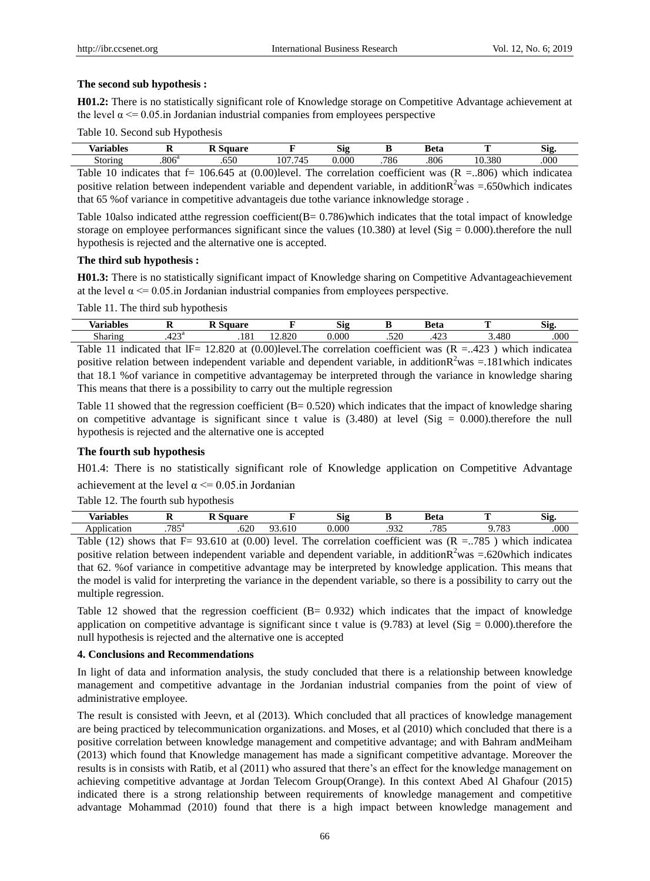#### **The second sub hypothesis :**

**H01.2:** There is no statistically significant role of Knowledge storage on Competitive Advantage achievement at the level  $\alpha \leq 0.05$  in Jordanian industrial companies from employees perspective

Table 10. Second sub Hypothesis

| hlog<br>n<br>   | . .                      |     |                                                            | CH.<br>519               |     | ≀ึ∩†ศ<br>u | m.                                              | $\sim$<br>519 |
|-----------------|--------------------------|-----|------------------------------------------------------------|--------------------------|-----|------------|-------------------------------------------------|---------------|
| $-$ tomn $\sim$ | 200 <sub>6</sub><br>ാ∪െ  | .v. | .<br>-<br>107                                              | 0.000                    | 786 | .806       | .380<br>^                                       | .000          |
|                 | the contract of the con- |     | the contract of the contract of<br>the control of the con- | <b>Contract Contract</b> |     |            | the contract of the contract of the contract of |               |

Table 10 indicates that f= 106.645 at (0.00)level. The correlation coefficient was  $(R = 0.806)$  which indicatea positive relation between independent variable and dependent variable, in addition $R^2$ was =.650which indicates that 65 %of variance in competitive advantageis due tothe variance inknowledge storage .

Table 10also indicated atthe regression coefficient( $B = 0.786$ )which indicates that the total impact of knowledge storage on employee performances significant since the values (10.380) at level (Sig =  $0.000$ ).therefore the null hypothesis is rejected and the alternative one is accepted.

## **The third sub hypothesis :**

**H01.3:** There is no statistically significant impact of Knowledge sharing on Competitive Advantageachievement at the level  $\alpha \leq 0.05$  in Jordanian industrial companies from employees perspective.

Table 11. The third sub hypothesis

| $-1$<br>l o c              | -                          |                   |                                 | c.<br>S19       |     | ,           |            | $\sim$<br>-215 |
|----------------------------|----------------------------|-------------------|---------------------------------|-----------------|-----|-------------|------------|----------------|
| $\sim$<br><b>MO 022230</b> | $\cdot \cap \cap a$<br>т∠… | $\Omega$<br>. . 0 | 000<br>$\overline{\phantom{a}}$ | $\Omega$<br>UU. | 500 | $\sim$<br>╌ | AOC<br>ł٨ι | .000           |
|                            |                            |                   |                                 |                 |     |             |            |                |

Table 11 indicated that IF= 12.820 at  $(0.00)$  level. The correlation coefficient was  $(R = .423)$  which indicatea positive relation between independent variable and dependent variable, in addition $R^2$ was =.181which indicates that 18.1 %of variance in competitive advantagemay be interpreted through the variance in knowledge sharing This means that there is a possibility to carry out the multiple regression

Table 11 showed that the regression coefficient  $(B = 0.520)$  which indicates that the impact of knowledge sharing on competitive advantage is significant since t value is  $(3.480)$  at level  $(Sig = 0.000)$ , therefore the null hypothesis is rejected and the alternative one is accepted

#### **The fourth sub hypothesis**

H01.4: There is no statistically significant role of Knowledge application on Competitive Advantage achievement at the level  $\alpha \le 0.05$  in Jordanian

Table 12. The fourth sub hypothesis

| $\sim$ $\sim$<br><b>⁄arıables</b> | .                                    | map<br>            |     | $\sim$<br>519 |            | !∧tc<br>cıo | m            | $\sim$<br>ے ان |
|-----------------------------------|--------------------------------------|--------------------|-----|---------------|------------|-------------|--------------|----------------|
| $\cdot$ $\cdot$                   | $\neg$ O $\mathcal{L}^{\alpha}$<br>. | ≃า∩<br>.u∠u        | - - | .000          | റാറ<br>ے ر | 705<br>.    | 701<br>ັ     | .000           |
| $1 \wedge$<br>. .                 |                                      | (0.00)<br>$\Omega$ | T11 |               | $\sim$     | $\sqrt{ }$  | $\pi$<br>. . | _______        |

Table (12) shows that F= 93.610 at (0.00) level. The correlation coefficient was  $(R = .785)$  which indicatea positive relation between independent variable and dependent variable, in addition $R^2$ was =.620which indicates that 62. %of variance in competitive advantage may be interpreted by knowledge application. This means that the model is valid for interpreting the variance in the dependent variable, so there is a possibility to carry out the multiple regression.

Table 12 showed that the regression coefficient (B= 0.932) which indicates that the impact of knowledge application on competitive advantage is significant since t value is  $(9.783)$  at level  $(Sig = 0.000)$ . therefore the null hypothesis is rejected and the alternative one is accepted

# **4. Conclusions and Recommendations**

In light of data and information analysis, the study concluded that there is a relationship between knowledge management and competitive advantage in the Jordanian industrial companies from the point of view of administrative employee.

The result is consisted with Jeevn, et al (2013). Which concluded that all practices of knowledge management are being practiced by telecommunication organizations. and Moses, et al (2010) which concluded that there is a positive correlation between knowledge management and competitive advantage; and with Bahram andMeiham (2013) which found that Knowledge management has made a significant competitive advantage. Moreover the results is in consists with Ratib, et al (2011) who assured that there's an effect for the knowledge management on achieving competitive advantage at Jordan Telecom Group(Orange). In this context Abed Al Ghafour (2015) indicated there is a strong relationship between requirements of knowledge management and competitive advantage Mohammad (2010) found that there is a high impact between knowledge management and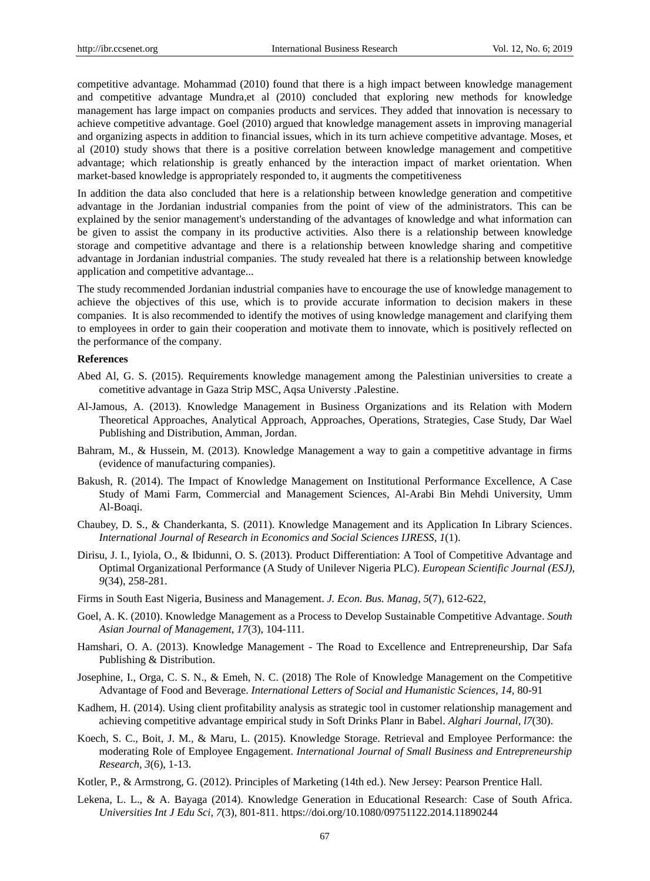competitive advantage. Mohammad (2010) found that there is a high impact between knowledge management and competitive advantage Mundra,et al (2010) concluded that exploring new methods for knowledge management has large impact on companies products and services. They added that innovation is necessary to achieve competitive advantage. Goel (2010) argued that knowledge management assets in improving managerial and organizing aspects in addition to financial issues, which in its turn achieve competitive advantage. Moses, et al (2010) study shows that there is a positive correlation between knowledge management and competitive advantage; which relationship is greatly enhanced by the interaction impact of market orientation. When market-based knowledge is appropriately responded to, it augments the competitiveness

In addition the data also concluded that here is a relationship between knowledge generation and competitive advantage in the Jordanian industrial companies from the point of view of the administrators. This can be explained by the senior management's understanding of the advantages of knowledge and what information can be given to assist the company in its productive activities. Also there is a relationship between knowledge storage and competitive advantage and there is a relationship between knowledge sharing and competitive advantage in Jordanian industrial companies. The study revealed hat there is a relationship between knowledge application and competitive advantage...

The study recommended Jordanian industrial companies have to encourage the use of knowledge management to achieve the objectives of this use, which is to provide accurate information to decision makers in these companies. It is also recommended to identify the motives of using knowledge management and clarifying them to employees in order to gain their cooperation and motivate them to innovate, which is positively reflected on the performance of the company.

#### **References**

- Abed Al, G. S. (2015). Requirements knowledge management among the Palestinian universities to create a cometitive advantage in Gaza Strip MSC, Aqsa Universty .Palestine.
- Al-Jamous, A. (2013). Knowledge Management in Business Organizations and its Relation with Modern Theoretical Approaches, Analytical Approach, Approaches, Operations, Strategies, Case Study, Dar Wael Publishing and Distribution, Amman, Jordan.
- Bahram, M., & Hussein, M. (2013). Knowledge Management a way to gain a competitive advantage in firms (evidence of manufacturing companies).
- Bakush, R. (2014). The Impact of Knowledge Management on Institutional Performance Excellence, A Case Study of Mami Farm, Commercial and Management Sciences, Al-Arabi Bin Mehdi University, Umm Al-Boaqi.
- Chaubey, D. S., & Chanderkanta, S. (2011). Knowledge Management and its Application In Library Sciences. *International Journal of Research in Economics and Social Sciences IJRESS, 1*(1).
- Dirisu, J. I., Iyiola, O., & Ibidunni, O. S. (2013). Product Differentiation: A Tool of Competitive Advantage and Optimal Organizational Performance (A Study of Unilever Nigeria PLC). *European Scientific Journal (ESJ), 9*(34), 258-281.
- Firms in South East Nigeria, Business and Management. *J. Econ. Bus. Manag, 5*(7), 612-622,
- Goel, A. K. (2010). Knowledge Management as a Process to Develop Sustainable Competitive Advantage. *South Asian Journal of Management, 17*(3), 104-111.
- Hamshari, O. A. (2013). Knowledge Management The Road to Excellence and Entrepreneurship, Dar Safa Publishing & Distribution.
- Josephine, I., Orga, C. S. N., & Emeh, N. C. (2018) The Role of Knowledge Management on the Competitive Advantage of Food and Beverage. *International Letters of Social and Humanistic Sciences, 14,* 80-91
- Kadhem, H. (2014). Using client profitability analysis as strategic tool in customer relationship management and achieving competitive advantage empirical study in Soft Drinks Planr in Babel. *Alghari Journal, l7*(30).
- Koech, S. C., Boit, J. M., & Maru, L. (2015). Knowledge Storage. Retrieval and Employee Performance: the moderating Role of Employee Engagement. *International Journal of Small Business and Entrepreneurship Research, 3*(6), 1-13.
- Kotler, P., & Armstrong, G. (2012). Principles of Marketing (14th ed.). New Jersey: Pearson Prentice Hall.
- Lekena, L. L., & A. Bayaga (2014). Knowledge Generation in Educational Research: Case of South Africa. *Universities Int J Edu Sci, 7*(3), 801-811. https://doi.org/10.1080/09751122.2014.11890244